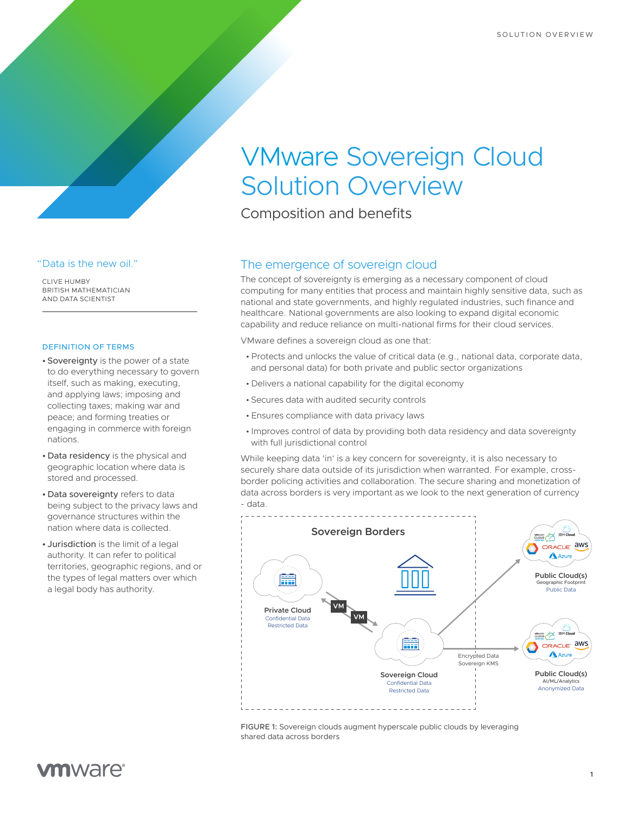# VMware Sovereign Cloud Solution Overview

Composition and benefits

#### "Data is the new oil."

CLIVE HUMBY BRITISH MATHEMATICIAN AND DATA SCIENTIST

#### DEFINITION OF TERMS

- Sovereignty is the power of a state to do everything necessary to govern itself, such as making, executing, and applying laws; imposing and collecting taxes; making war and peace; and forming treaties or engaging in commerce with foreign nations.
- Data residency is the physical and geographic location where data is stored and processed.
- Data sovereignty refers to data being subject to the privacy laws and governance structures within the nation where data is collected.
- Jurisdiction is the limit of a legal authority. It can refer to political territories, geographic regions, and or the types of legal matters over which a legal body has authority.

## The emergence of sovereign cloud

The concept of sovereignty is emerging as a necessary component of cloud computing for many entities that process and maintain highly sensitive data, such as national and state governments, and highly regulated industries, such finance and healthcare. National governments are also looking to expand digital economic capability and reduce reliance on multi-national firms for their cloud services.

VMware defines a sovereign cloud as one that:

- •Protects and unlocks the value of critical data (e.g., national data, corporate data, and personal data) for both private and public sector organizations
- Delivers a national capability for the digital economy
- Secures data with audited security controls
- Ensures compliance with data privacy laws
- Improves control of data by providing both data residency and data sovereignty with full jurisdictional control

While keeping data 'in' is a key concern for sovereignty, it is also necessary to securely share data outside of its jurisdiction when warranted. For example, crossborder policing activities and collaboration. The secure sharing and monetization of data across borders is very important as we look to the next generation of currency - data.



FIGURE 1: Sovereign clouds augment hyperscale public clouds by leveraging shared data across borders

# **vm**ware<sup>®</sup>